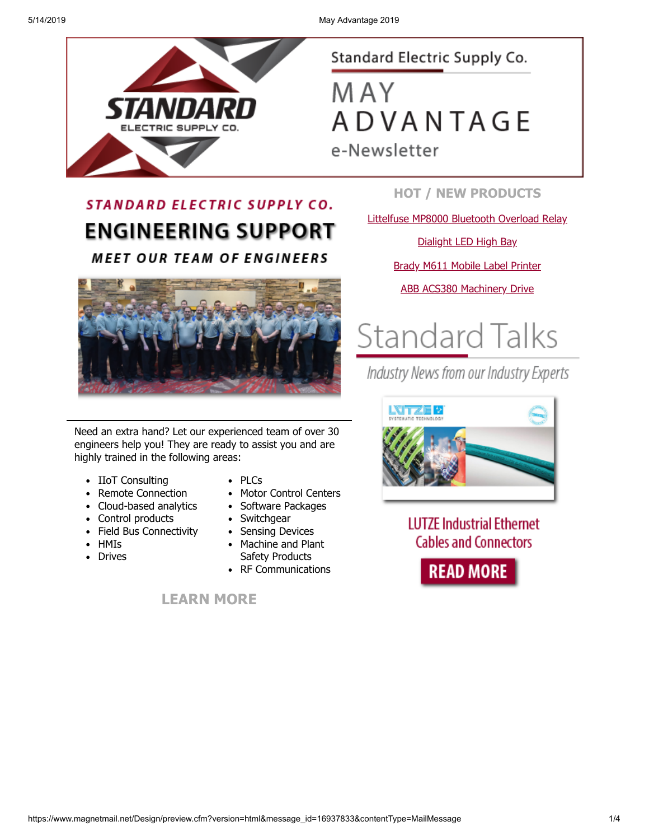

### Standard Electric Supply Co.

**MAY ADVANTAGE** e-Newsletter

### **STANDARD ELECTRIC SUPPLY CO. ENGINEERING SUPPORT MEET OUR TEAM OF ENGINEERS**



Need an extra hand? Let our experienced team of over 30 engineers help you! They are ready to assist you and are highly trained in the following areas:

- IIoT Consulting
- Remote Connection
- Cloud-based analytics
- Control products
- Field Bus Connectivity  $\bullet$
- HMIs
- Drives
- PLCs
- Motor Control Centers
- Software Packages
- Switchgear
- Sensing Devices  $\bullet$
- Machine and Plant Safety Products
- RF Communications

**[LEARN MORE](https://www.standardelectricsupply.com/content/engineering-support/?utm_source=Higher%20Logic&utm_medium=INSERT_CHANNEL%20&utm_content=INSERT_RECIPIENT_ID&utm_campaign=INSERT_LINK_ID)**

**HOT / NEW PRODUCTS**

[Littelfuse MP8000 Bluetooth Overload Relay](https://images.magnetmail.net/images/clients/SESC/attach/enewsletter_2019/Littelfuse_MP8000.pdf)

[Dialight LED High Bay](https://www.standardelectricsupply.com/content/the-dialight-difference/?utm_source=Higher%20Logic&utm_medium=INSERT_CHANNEL%20&utm_content=INSERT_RECIPIENT_ID&utm_campaign=INSERT_LINK_ID)

[Brady M611 Mobile Label Printer](https://images.magnetmail.net/images/clients/SESC/attach/enewsletter_2019/BradyPrinter_M611.pdf)

[ABB ACS380 Machinery Drive](https://www.standardelectricsupply.com/content/acs380drive/?utm_source=Higher%20Logic&utm_medium=INSERT_CHANNEL%20&utm_content=INSERT_RECIPIENT_ID&utm_campaign=INSERT_LINK_ID)

# **Standard Talks**

Industry News from our Industry Experts



**LUTZE Industrial Ethernet Cables and Connectors** 

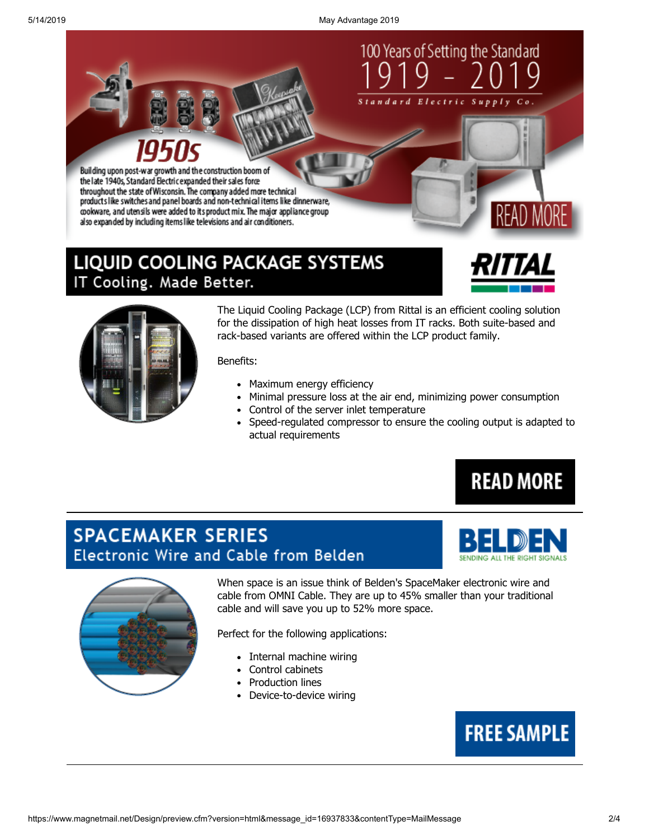5/14/2019 May Advantage 2019



### **LIQUID COOLING PACKAGE SYSTEMS** IT Cooling. Made Better.



MORI



The Liquid Cooling Package (LCP) from Rittal is an efficient cooling solution for the dissipation of high heat losses from IT racks. Both suite-based and rack-based variants are offered within the LCP product family.

#### Benefits:

- Maximum energy efficiency
- Minimal pressure loss at the air end, minimizing power consumption
- Control of the server inlet temperature
- Speed-regulated compressor to ensure the cooling output is adapted to actual requirements

**READ MORE** 

### **SPACEMAKER SERIES** Electronic Wire and Cable from Belden





When space is an issue think of Belden's SpaceMaker electronic wire and cable from OMNI Cable. They are up to 45% smaller than your traditional cable and will save you up to 52% more space.

Perfect for the following applications:

- Internal machine wiring
- Control cabinets
- Production lines
- Device-to-device wiring

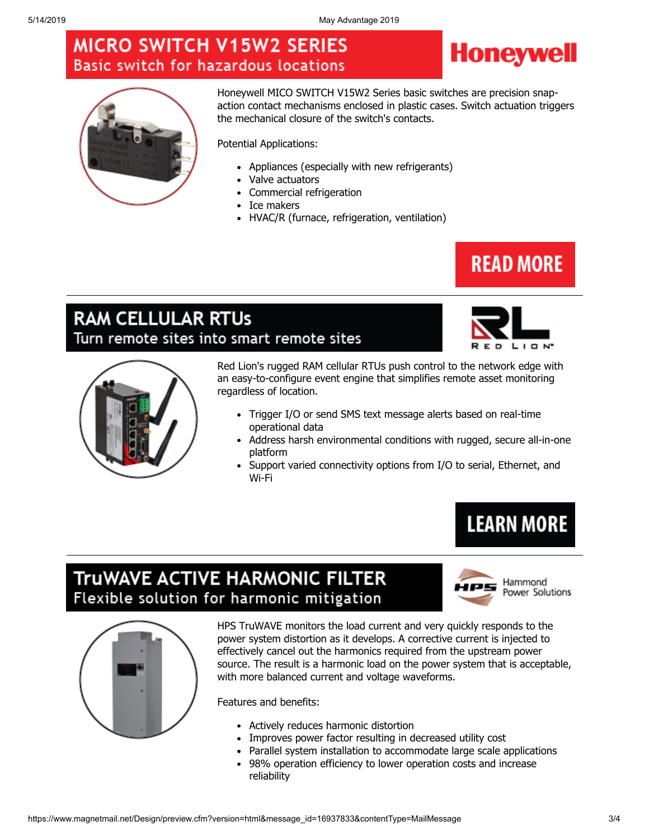### **MICRO SWITCH V15W2 SERIES** Basic switch for hazardous locations





Honeywell MICO SWITCH V15W2 Series basic switches are precision snapaction contact mechanisms enclosed in plastic cases. Switch actuation triggers the mechanical closure of the switch's contacts.

Potential Applications:

- Appliances (especially with new refrigerants)
- Valve actuators
- Commercial refrigeration
- Ice makers
- HVAC/R (furnace, refrigeration, ventilation)

### **READ MORE**

### **RAM CELLULAR RTUS** Turn remote sites into smart remote sites





Red Lion's rugged RAM cellular RTUs push control to the network edge with an easy-to-configure event engine that simplifies remote asset monitoring regardless of location.

- Trigger I/O or send SMS text message alerts based on real-time operational data
- Address harsh environmental conditions with rugged, secure all-in-one platform
- Support varied connectivity options from I/O to serial, Ethernet, and Wi-Fi

# **LEARN MORE**

### TruWAVE ACTIVE HARMONIC FILTER Flexible solution for harmonic mitigation



Hammond Power Solutions



HPS TruWAVE monitors the load current and very quickly responds to the power system distortion as it develops. A corrective current is injected to effectively cancel out the harmonics required from the upstream power source. The result is a harmonic load on the power system that is acceptable, with more balanced current and voltage waveforms.

Features and benefits:

- Actively reduces harmonic distortion
- Improves power factor resulting in decreased utility cost
- Parallel system installation to accommodate large scale applications
- 98% operation efficiency to lower operation costs and increase reliability